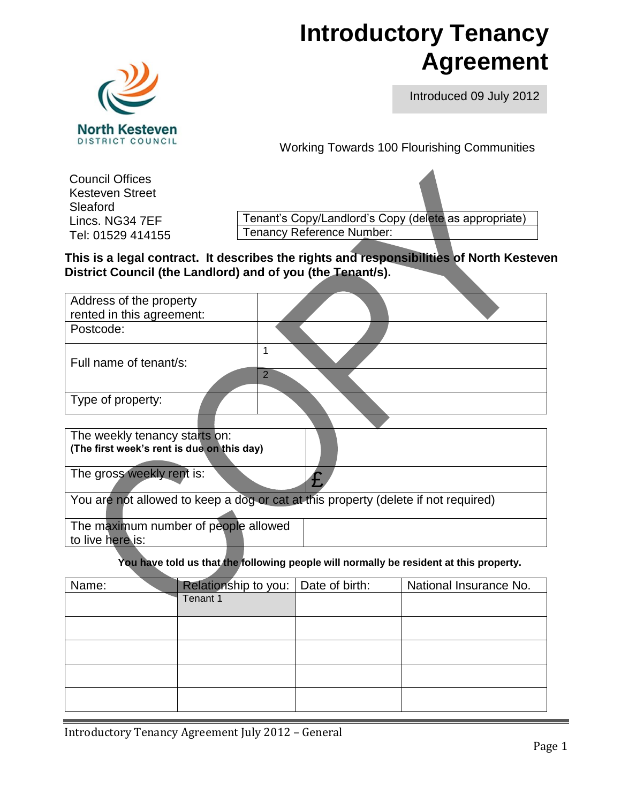# **Introductory Tenancy Agreement**



Introduced 09 July 2012

Working Towards 100 Flourishing Communities

Council Offices Kesteven Street Sleaford Lincs. NG34 7EF Tel: 01529 414155

Tenant's Copy/Landlord's Copy (delete as appropriate) Tenancy Reference Number:

**This is a legal contract. It describes the rights and responsibilities of North Kesteven District Council (the Landlord) and of you (the Tenant/s).**

| Address of the property                                  |                                                                                    |
|----------------------------------------------------------|------------------------------------------------------------------------------------|
| rented in this agreement:                                |                                                                                    |
| Postcode:                                                |                                                                                    |
| Full name of tenant/s:                                   |                                                                                    |
|                                                          | $\overline{2}$                                                                     |
| Type of property:                                        |                                                                                    |
|                                                          |                                                                                    |
| The weekly tenancy starts on:                            |                                                                                    |
| (The first week's rent is due on this day)               |                                                                                    |
| The gross weekly rent is:                                |                                                                                    |
|                                                          | You are not allowed to keep a dog or cat at this property (delete if not required) |
| The maximum number of people allowed<br>to live here is: |                                                                                    |
|                                                          |                                                                                    |

**You have told us that the following people will normally be resident at this property.**

| Name: | Relationship to you:   Date of birth: | National Insurance No. |
|-------|---------------------------------------|------------------------|
|       | Tenant 1                              |                        |
|       |                                       |                        |
|       |                                       |                        |
|       |                                       |                        |
|       |                                       |                        |
|       |                                       |                        |
|       |                                       |                        |
|       |                                       |                        |
|       |                                       |                        |

Introductory Tenancy Agreement July 2012 – General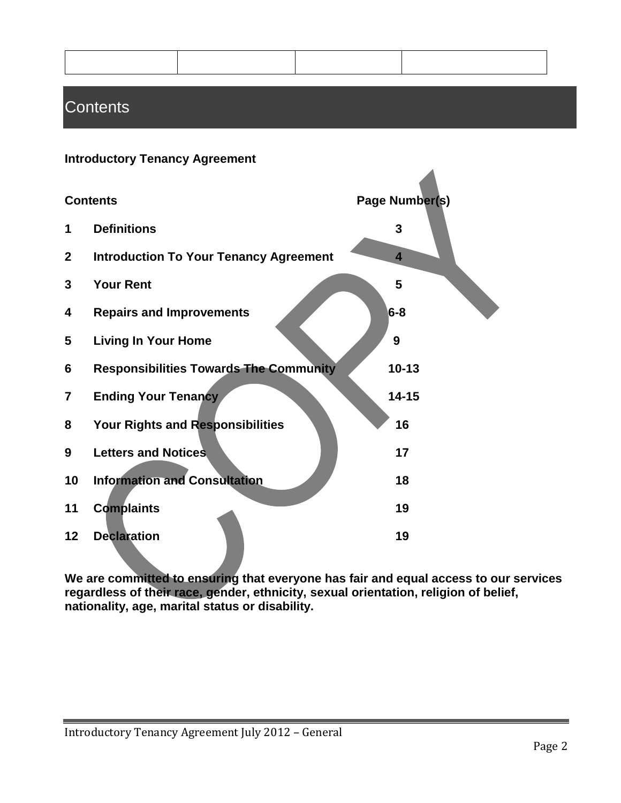$\blacktriangle$ 

## **Contents**

#### **Introductory Tenancy Agreement**

|                | <b>Contents</b>                               | Page Number(s)          |
|----------------|-----------------------------------------------|-------------------------|
| 1              | <b>Definitions</b>                            | 3                       |
| $\mathbf{2}$   | <b>Introduction To Your Tenancy Agreement</b> | $\overline{\mathbf{4}}$ |
| 3              | <b>Your Rent</b>                              | 5                       |
| 4              | <b>Repairs and Improvements</b>               | $6 - 8$                 |
| 5              | <b>Living In Your Home</b>                    | 9                       |
| 6              | <b>Responsibilities Towards The Community</b> | $10 - 13$               |
| $\overline{7}$ | <b>Ending Your Tenancy</b>                    | $14 - 15$               |
| 8              | Your Rights and Responsibilities              | 16                      |
| 9              | <b>Letters and Notices</b>                    | 17                      |
| 10             | <b>Information and Consultation</b>           | 18                      |
| 11             | <b>Complaints</b>                             | 19                      |
| 12             | <b>Declaration</b>                            | 19                      |

**We are committed to ensuring that everyone has fair and equal access to our services regardless of their race, gender, ethnicity, sexual orientation, religion of belief, nationality, age, marital status or disability.**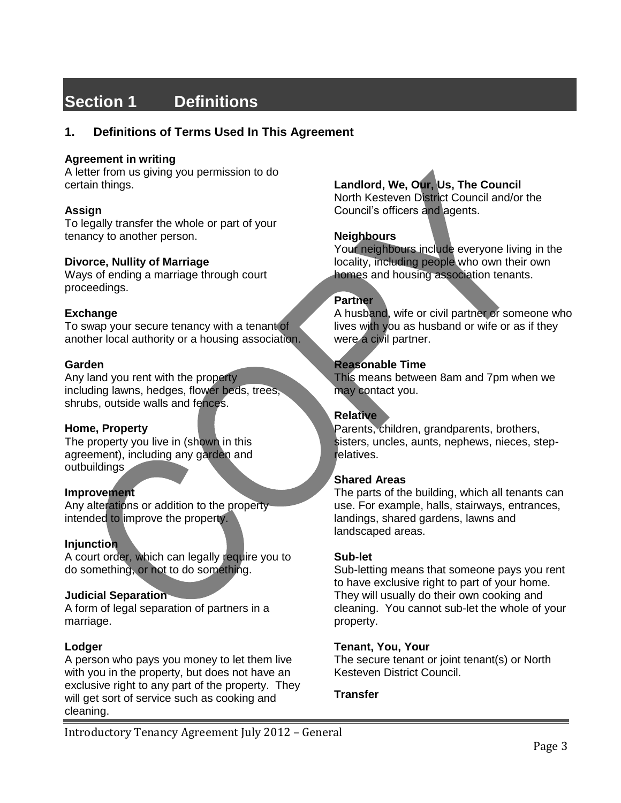# **Section 1 Definitions**

#### **1. Definitions of Terms Used In This Agreement**

#### **Agreement in writing**

A letter from us giving you permission to do certain things.

#### **Assign**

To legally transfer the whole or part of your tenancy to another person.

#### **Divorce, Nullity of Marriage**

Ways of ending a marriage through court proceedings.

#### **Exchange**

To swap your secure tenancy with a tenant of another local authority or a housing association.

#### **Garden**

Any land you rent with the property including lawns, hedges, flower beds, trees, shrubs, outside walls and fences.

#### **Home, Property**

The property you live in (shown in this agreement), including any garden and outbuildings

#### **Improvement**

Any alterations or addition to the property intended to improve the property.

#### **Injunction**

A court order, which can legally require you to do something, or not to do something.

#### **Judicial Separation**

A form of legal separation of partners in a marriage.

#### **Lodger**

A person who pays you money to let them live with you in the property, but does not have an exclusive right to any part of the property. They will get sort of service such as cooking and cleaning.

#### **Landlord, We, Our, Us, The Council**

North Kesteven District Council and/or the Council's officers and agents.

#### **Neighbours**

Your neighbours include everyone living in the locality, including people who own their own homes and housing association tenants.

#### **Partner**

A husband, wife or civil partner or someone who lives with you as husband or wife or as if they were a civil partner.

#### **Reasonable Time**

This means between 8am and 7pm when we may contact you.

#### **Relative**

Parents, children, grandparents, brothers, sisters, uncles, aunts, nephews, nieces, steprelatives.

#### **Shared Areas**

The parts of the building, which all tenants can use. For example, halls, stairways, entrances, landings, shared gardens, lawns and landscaped areas.

#### **Sub-let**

Sub-letting means that someone pays you rent to have exclusive right to part of your home. They will usually do their own cooking and cleaning. You cannot sub-let the whole of your property.

#### **Tenant, You, Your**

The secure tenant or joint tenant(s) or North Kesteven District Council.

#### **Transfer**

Introductory Tenancy Agreement July 2012 – General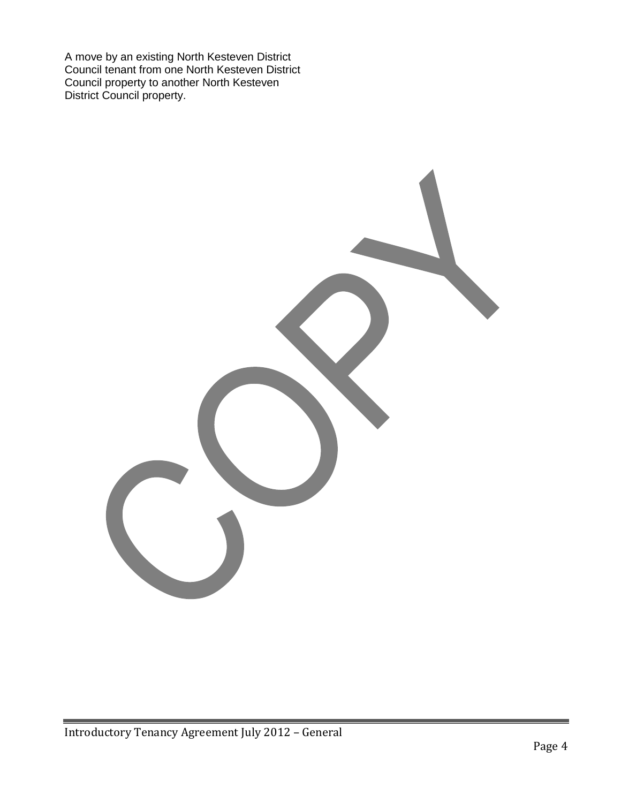A move by an existing North Kesteven District Council tenant from one North Kesteven District Council property to another North Kesteven District Council property.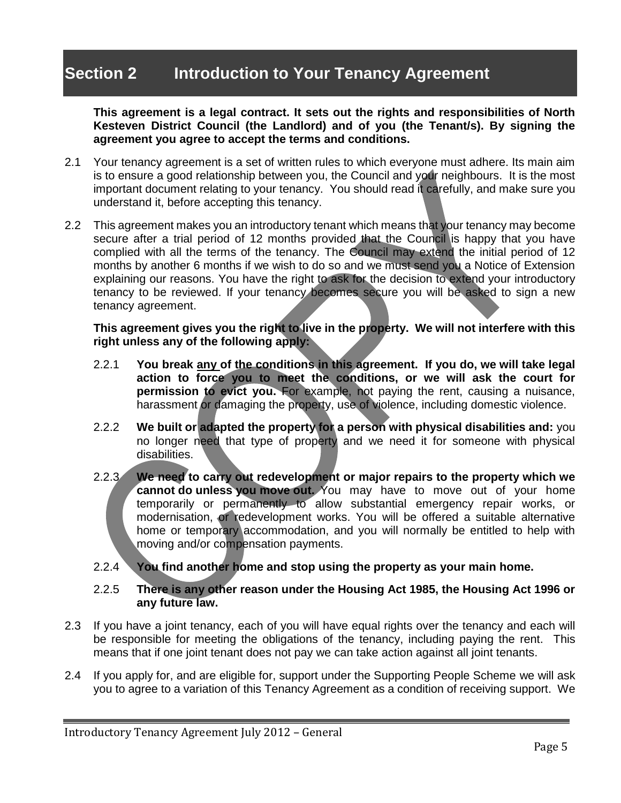# **Section 2 Introduction to Your Tenancy Agreement**

**This agreement is a legal contract. It sets out the rights and responsibilities of North Kesteven District Council (the Landlord) and of you (the Tenant/s). By signing the agreement you agree to accept the terms and conditions.** 

- 2.1 Your tenancy agreement is a set of written rules to which everyone must adhere. Its main aim is to ensure a good relationship between you, the Council and your neighbours. It is the most important document relating to your tenancy. You should read it carefully, and make sure you understand it, before accepting this tenancy.
- 2.2 This agreement makes you an introductory tenant which means that your tenancy may become secure after a trial period of 12 months provided that the Council is happy that you have complied with all the terms of the tenancy. The Council may extend the initial period of 12 months by another 6 months if we wish to do so and we must send you a Notice of Extension explaining our reasons. You have the right to ask for the decision to extend your introductory tenancy to be reviewed. If your tenancy becomes secure you will be asked to sign a new tenancy agreement.

#### **This agreement gives you the right to live in the property. We will not interfere with this right unless any of the following apply:**

- 2.2.1 **You break any of the conditions in this agreement. If you do, we will take legal action to force you to meet the conditions, or we will ask the court for permission to evict you.** For example, not paying the rent, causing a nuisance, harassment or damaging the property, use of violence, including domestic violence.
- 2.2.2 **We built or adapted the property for a person with physical disabilities and:** you no longer need that type of property and we need it for someone with physical disabilities.
- 2.2.3 **We need to carry out redevelopment or major repairs to the property which we cannot do unless you move out.** You may have to move out of your home temporarily or permanently to allow substantial emergency repair works, or modernisation, or redevelopment works. You will be offered a suitable alternative home or temporary accommodation, and you will normally be entitled to help with moving and/or compensation payments.
- 2.2.4 **You find another home and stop using the property as your main home.**

#### 2.2.5 **There is any other reason under the Housing Act 1985, the Housing Act 1996 or any future law.**

- 2.3 If you have a joint tenancy, each of you will have equal rights over the tenancy and each will be responsible for meeting the obligations of the tenancy, including paying the rent. This means that if one joint tenant does not pay we can take action against all joint tenants.
- 2.4 If you apply for, and are eligible for, support under the Supporting People Scheme we will ask you to agree to a variation of this Tenancy Agreement as a condition of receiving support. We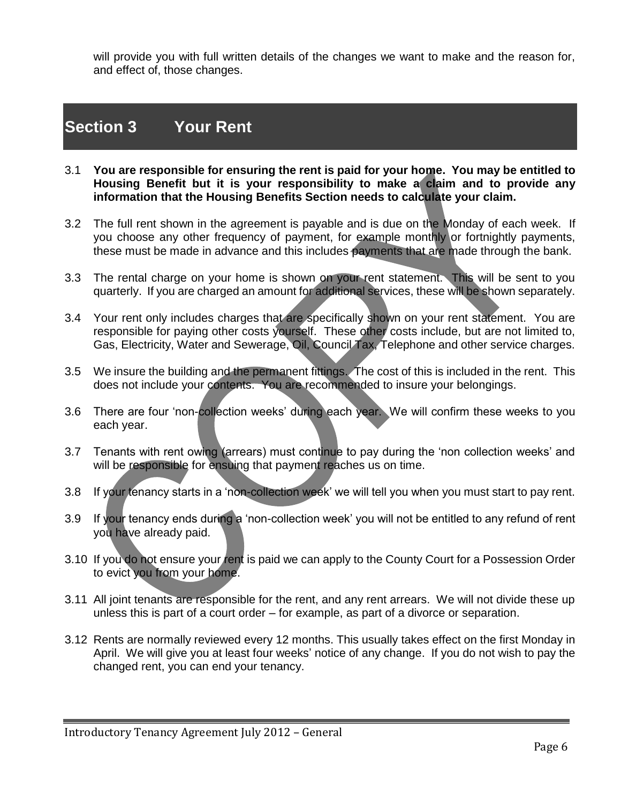will provide you with full written details of the changes we want to make and the reason for, and effect of, those changes.

### **Section 3 Your Rent**

- 3.1 **You are responsible for ensuring the rent is paid for your home. You may be entitled to Housing Benefit but it is your responsibility to make a claim and to provide any information that the Housing Benefits Section needs to calculate your claim.**
- 3.2 The full rent shown in the agreement is payable and is due on the Monday of each week. If you choose any other frequency of payment, for example monthly or fortnightly payments, these must be made in advance and this includes payments that are made through the bank.
- 3.3 The rental charge on your home is shown on your rent statement. This will be sent to you quarterly. If you are charged an amount for additional services, these will be shown separately.
- 3.4 Your rent only includes charges that are specifically shown on your rent statement. You are responsible for paying other costs yourself. These other costs include, but are not limited to, Gas, Electricity, Water and Sewerage, Oil, Council Tax, Telephone and other service charges.
- 3.5 We insure the building and the permanent fittings. The cost of this is included in the rent. This does not include your contents. You are recommended to insure your belongings.
- 3.6 There are four 'non-collection weeks' during each year. We will confirm these weeks to you each year.
- 3.7 Tenants with rent owing (arrears) must continue to pay during the 'non collection weeks' and will be responsible for ensuing that payment reaches us on time.
- 3.8 If your tenancy starts in a 'non-collection week' we will tell you when you must start to pay rent.
- 3.9 If your tenancy ends during a 'non-collection week' you will not be entitled to any refund of rent you have already paid.
- 3.10 If you do not ensure your rent is paid we can apply to the County Court for a Possession Order to evict you from your home.
- 3.11 All joint tenants are responsible for the rent, and any rent arrears. We will not divide these up unless this is part of a court order – for example, as part of a divorce or separation.
- 3.12 Rents are normally reviewed every 12 months. This usually takes effect on the first Monday in April. We will give you at least four weeks' notice of any change. If you do not wish to pay the changed rent, you can end your tenancy.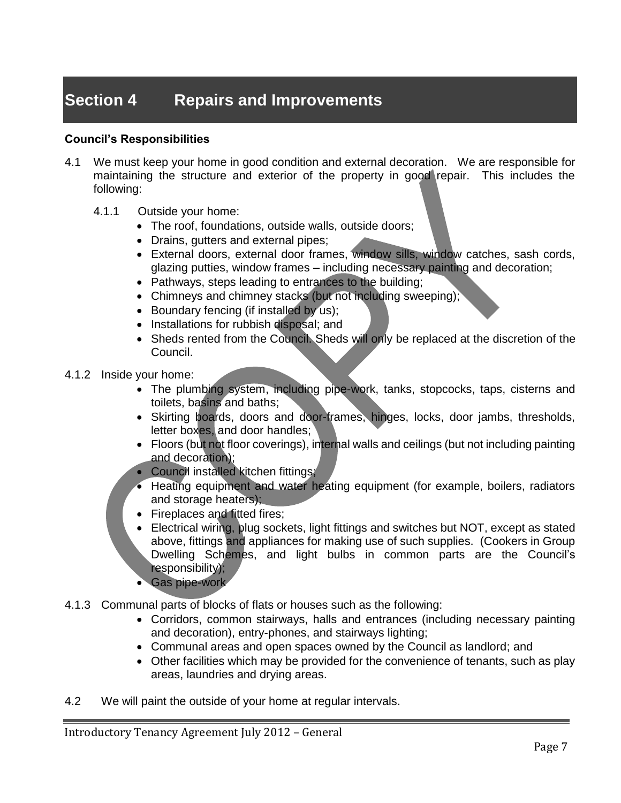# **Section 4 Repairs and Improvements**

#### **Council's Responsibilities**

- 4.1 We must keep your home in good condition and external decoration. We are responsible for maintaining the structure and exterior of the property in good repair. This includes the following:
	- 4.1.1 Outside your home:
		- The roof, foundations, outside walls, outside doors;
		- Drains, gutters and external pipes;
		- External doors, external door frames, window sills, window catches, sash cords, glazing putties, window frames – including necessary painting and decoration;
		- Pathways, steps leading to entrances to the building;
		- Chimneys and chimney stacks (but not including sweeping);
		- Boundary fencing (if installed by us);
		- Installations for rubbish disposal; and
		- Sheds rented from the Council. Sheds will only be replaced at the discretion of the Council.
- 4.1.2 Inside your home:
	- The plumbing system, including pipe-work, tanks, stopcocks, taps, cisterns and toilets, basins and baths;
	- Skirting boards, doors and door-frames, hinges, locks, door jambs, thresholds, letter boxes, and door handles;
	- Floors (but not floor coverings), internal walls and ceilings (but not including painting and decoration);
	- Council installed kitchen fittings;
	- Heating equipment and water heating equipment (for example, boilers, radiators and storage heaters);
	- Fireplaces and fitted fires;
	- Electrical wiring, plug sockets, light fittings and switches but NOT, except as stated above, fittings and appliances for making use of such supplies. (Cookers in Group Dwelling Schemes, and light bulbs in common parts are the Council's responsibility);
	- Gas pipe-work
- 4.1.3 Communal parts of blocks of flats or houses such as the following:
	- Corridors, common stairways, halls and entrances (including necessary painting and decoration), entry-phones, and stairways lighting;
	- Communal areas and open spaces owned by the Council as landlord; and
	- Other facilities which may be provided for the convenience of tenants, such as play areas, laundries and drying areas.
- 4.2 We will paint the outside of your home at regular intervals.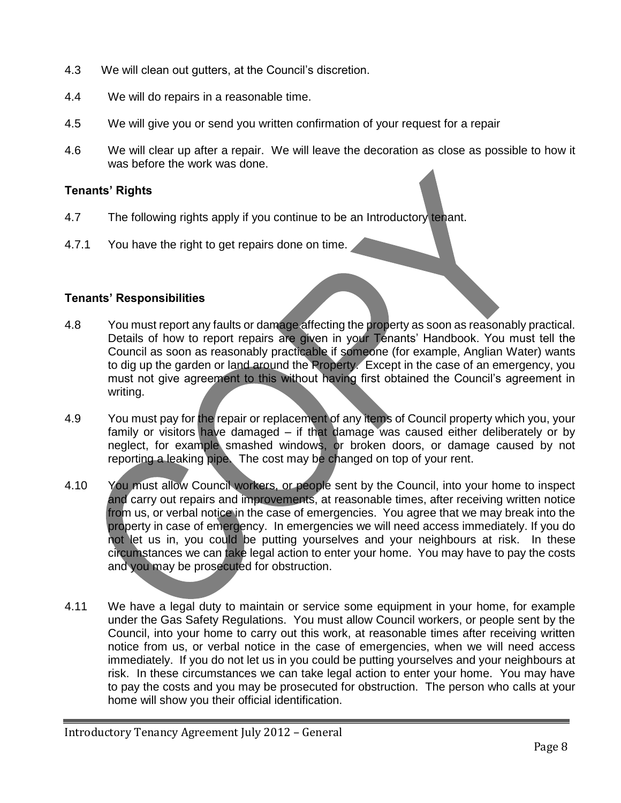- 4.3 We will clean out gutters, at the Council's discretion.
- 4.4 We will do repairs in a reasonable time.
- 4.5 We will give you or send you written confirmation of your request for a repair
- 4.6 We will clear up after a repair. We will leave the decoration as close as possible to how it was before the work was done.

#### **Tenants' Rights**

- 4.7 The following rights apply if you continue to be an Introductory tenant.
- 4.7.1 You have the right to get repairs done on time.

#### **Tenants' Responsibilities**

- 4.8 You must report any faults or damage affecting the property as soon as reasonably practical. Details of how to report repairs are given in your Tenants' Handbook. You must tell the Council as soon as reasonably practicable if someone (for example, Anglian Water) wants to dig up the garden or land around the Property. Except in the case of an emergency, you must not give agreement to this without having first obtained the Council's agreement in writing.
- 4.9 You must pay for the repair or replacement of any items of Council property which you, your family or visitors have damaged – if that damage was caused either deliberately or by neglect, for example smashed windows, or broken doors, or damage caused by not reporting a leaking pipe. The cost may be changed on top of your rent.
- 4.10 You must allow Council workers, or people sent by the Council, into your home to inspect and carry out repairs and improvements, at reasonable times, after receiving written notice from us, or verbal notice in the case of emergencies. You agree that we may break into the property in case of emergency. In emergencies we will need access immediately. If you do not let us in, you could be putting yourselves and your neighbours at risk. In these circumstances we can take legal action to enter your home. You may have to pay the costs and you may be prosecuted for obstruction.
- 4.11 We have a legal duty to maintain or service some equipment in your home, for example under the Gas Safety Regulations. You must allow Council workers, or people sent by the Council, into your home to carry out this work, at reasonable times after receiving written notice from us, or verbal notice in the case of emergencies, when we will need access immediately. If you do not let us in you could be putting yourselves and your neighbours at risk. In these circumstances we can take legal action to enter your home. You may have to pay the costs and you may be prosecuted for obstruction. The person who calls at your home will show you their official identification.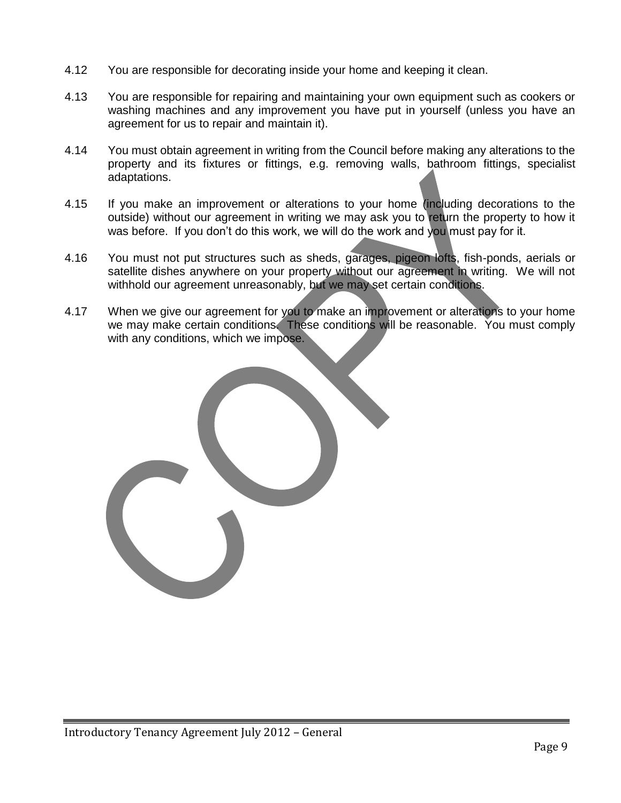- 4.12 You are responsible for decorating inside your home and keeping it clean.
- 4.13 You are responsible for repairing and maintaining your own equipment such as cookers or washing machines and any improvement you have put in yourself (unless you have an agreement for us to repair and maintain it).
- 4.14 You must obtain agreement in writing from the Council before making any alterations to the property and its fixtures or fittings, e.g. removing walls, bathroom fittings, specialist adaptations.
- 4.15 If you make an improvement or alterations to your home (including decorations to the outside) without our agreement in writing we may ask you to return the property to how it was before. If you don't do this work, we will do the work and you must pay for it.
- 4.16 You must not put structures such as sheds, garages, pigeon lofts, fish-ponds, aerials or satellite dishes anywhere on your property without our agreement in writing. We will not withhold our agreement unreasonably, but we may set certain conditions.
- 4.17 When we give our agreement for you to make an improvement or alterations to your home we may make certain conditions. These conditions will be reasonable. You must comply with any conditions, which we impose.

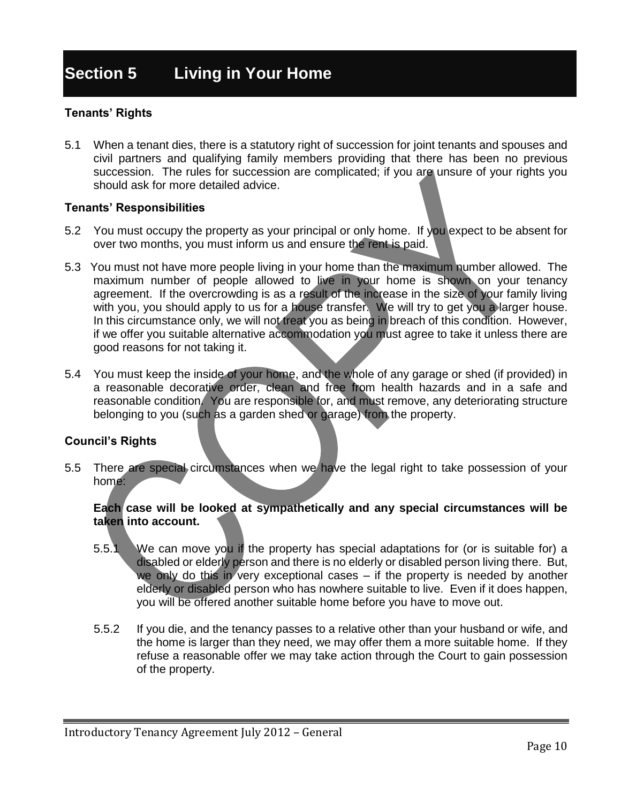#### **Tenants' Rights**

5.1 When a tenant dies, there is a statutory right of succession for joint tenants and spouses and civil partners and qualifying family members providing that there has been no previous succession. The rules for succession are complicated; if you are unsure of your rights you should ask for more detailed advice.

#### **Tenants' Responsibilities**

- 5.2 You must occupy the property as your principal or only home. If you expect to be absent for over two months, you must inform us and ensure the rent is paid.
- 5.3 You must not have more people living in your home than the maximum number allowed. The maximum number of people allowed to live in your home is shown on your tenancy agreement. If the overcrowding is as a result of the increase in the size of your family living with you, you should apply to us for a house transfer. We will try to get you a larger house. In this circumstance only, we will not treat you as being in breach of this condition. However, if we offer you suitable alternative accommodation you must agree to take it unless there are good reasons for not taking it.
- 5.4 You must keep the inside of your home, and the whole of any garage or shed (if provided) in a reasonable decorative order, clean and free from health hazards and in a safe and reasonable condition. You are responsible for, and must remove, any deteriorating structure belonging to you (such as a garden shed or garage) from the property.

#### **Council's Rights**

5.5 There are special circumstances when we have the legal right to take possession of your home:

#### **Each case will be looked at sympathetically and any special circumstances will be taken into account.**

- 5.5.1 We can move you if the property has special adaptations for (or is suitable for) a disabled or elderly person and there is no elderly or disabled person living there. But, we only do this in very exceptional cases – if the property is needed by another elderly or disabled person who has nowhere suitable to live. Even if it does happen, you will be offered another suitable home before you have to move out.
- 5.5.2 If you die, and the tenancy passes to a relative other than your husband or wife, and the home is larger than they need, we may offer them a more suitable home. If they refuse a reasonable offer we may take action through the Court to gain possession of the property.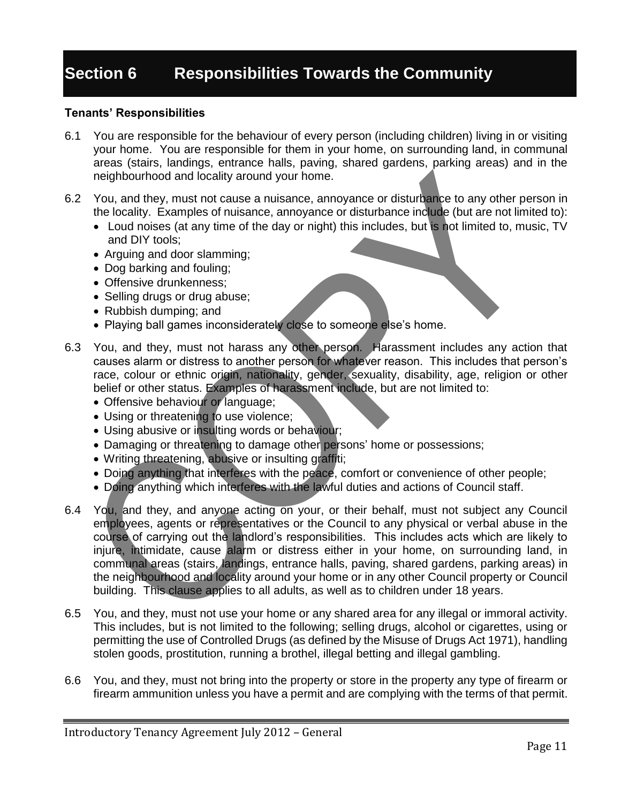# **Section 6 Responsibilities Towards the Community**

#### **Tenants' Responsibilities**

- 6.1 You are responsible for the behaviour of every person (including children) living in or visiting your home. You are responsible for them in your home, on surrounding land, in communal areas (stairs, landings, entrance halls, paving, shared gardens, parking areas) and in the neighbourhood and locality around your home.
- 6.2 You, and they, must not cause a nuisance, annoyance or disturbance to any other person in the locality. Examples of nuisance, annoyance or disturbance include (but are not limited to):
	- Loud noises (at any time of the day or night) this includes, but is not limited to, music, TV and DIY tools;
	- Arguing and door slamming;
	- Dog barking and fouling;
	- Offensive drunkenness:
	- Selling drugs or drug abuse;
	- Rubbish dumping; and
	- Playing ball games inconsiderately close to someone else's home.
- 6.3 You, and they, must not harass any other person. Harassment includes any action that causes alarm or distress to another person for whatever reason. This includes that person's race, colour or ethnic origin, nationality, gender, sexuality, disability, age, religion or other belief or other status. Examples of harassment include, but are not limited to:
	- Offensive behaviour or language;
	- Using or threatening to use violence;
	- Using abusive or insulting words or behaviour;
	- Damaging or threatening to damage other persons' home or possessions;
	- Writing threatening, abusive or insulting graffiti;
	- Doing anything that interferes with the peace, comfort or convenience of other people;
	- Doing anything which interferes with the lawful duties and actions of Council staff.
- 6.4 You, and they, and anyone acting on your, or their behalf, must not subject any Council employees, agents or representatives or the Council to any physical or verbal abuse in the course of carrying out the landlord's responsibilities. This includes acts which are likely to injure, intimidate, cause alarm or distress either in your home, on surrounding land, in communal areas (stairs, landings, entrance halls, paving, shared gardens, parking areas) in the neighbourhood and locality around your home or in any other Council property or Council building. This clause applies to all adults, as well as to children under 18 years.
- 6.5 You, and they, must not use your home or any shared area for any illegal or immoral activity. This includes, but is not limited to the following; selling drugs, alcohol or cigarettes, using or permitting the use of Controlled Drugs (as defined by the Misuse of Drugs Act 1971), handling stolen goods, prostitution, running a brothel, illegal betting and illegal gambling.
- 6.6 You, and they, must not bring into the property or store in the property any type of firearm or firearm ammunition unless you have a permit and are complying with the terms of that permit.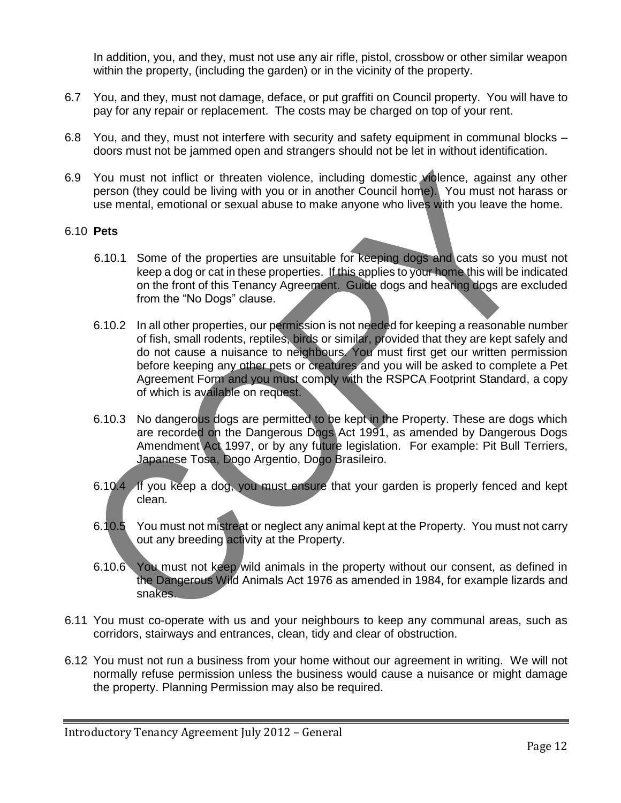In addition, you, and they, must not use any air rifle, pistol, crossbow or other similar weapon within the property, (including the garden) or in the vicinity of the property.

- 6.7 You, and they, must not damage, deface, or put graffiti on Council property. You will have to pay for any repair or replacement. The costs may be charged on top of your rent.
- 6.8 You, and they, must not interfere with security and safety equipment in communal blocks doors must not be jammed open and strangers should not be let in without identification.
- 6.9 You must not inflict or threaten violence, including domestic violence, against any other person (they could be living with you or in another Council home). You must not harass or use mental, emotional or sexual abuse to make anyone who lives with you leave the home.

#### 6.10 **Pets**

- 6.10.1 Some of the properties are unsuitable for keeping dogs and cats so you must not keep a dog or cat in these properties. If this applies to your home this will be indicated on the front of this Tenancy Agreement. Guide dogs and hearing dogs are excluded from the "No Dogs" clause.
- 6.10.2 In all other properties, our permission is not needed for keeping a reasonable number of fish, small rodents, reptiles, birds or similar, provided that they are kept safely and do not cause a nuisance to neighbours. You must first get our written permission before keeping any other pets or creatures and you will be asked to complete a Pet Agreement Form and you must comply with the RSPCA Footprint Standard, a copy of which is available on request.
- 6.10.3 No dangerous dogs are permitted to be kept in the Property. These are dogs which are recorded on the Dangerous Dogs Act 1991, as amended by Dangerous Dogs Amendment Act 1997, or by any future legislation. For example: Pit Bull Terriers, Japanese Tosa, Dogo Argentio, Dogo Brasileiro.
- 6.10.4 If you keep a dog, you must ensure that your garden is properly fenced and kept clean.
- 6.10.5 You must not mistreat or neglect any animal kept at the Property. You must not carry out any breeding activity at the Property.
- 6.10.6 You must not keep wild animals in the property without our consent, as defined in the Dangerous Wild Animals Act 1976 as amended in 1984, for example lizards and snakes.
- 6.11 You must co-operate with us and your neighbours to keep any communal areas, such as corridors, stairways and entrances, clean, tidy and clear of obstruction.
- 6.12 You must not run a business from your home without our agreement in writing. We will not normally refuse permission unless the business would cause a nuisance or might damage the property. Planning Permission may also be required.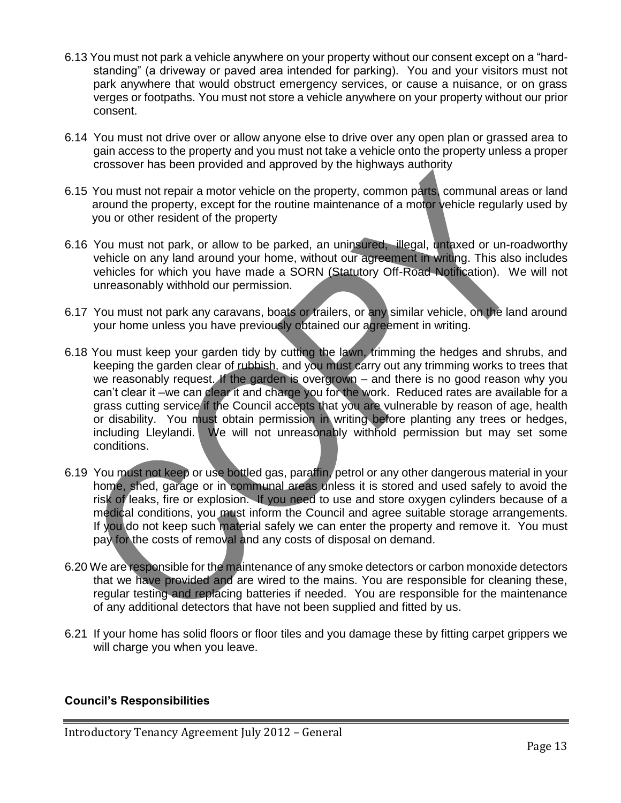- 6.13 You must not park a vehicle anywhere on your property without our consent except on a "hardstanding" (a driveway or paved area intended for parking). You and your visitors must not park anywhere that would obstruct emergency services, or cause a nuisance, or on grass verges or footpaths. You must not store a vehicle anywhere on your property without our prior consent.
- 6.14 You must not drive over or allow anyone else to drive over any open plan or grassed area to gain access to the property and you must not take a vehicle onto the property unless a proper crossover has been provided and approved by the highways authority
- 6.15 You must not repair a motor vehicle on the property, common parts, communal areas or land around the property, except for the routine maintenance of a motor vehicle regularly used by you or other resident of the property
- 6.16 You must not park, or allow to be parked, an uninsured, illegal, untaxed or un-roadworthy vehicle on any land around your home, without our agreement in writing. This also includes vehicles for which you have made a SORN (Statutory Off-Road Notification). We will not unreasonably withhold our permission.
- 6.17 You must not park any caravans, boats or trailers, or any similar vehicle, on the land around your home unless you have previously obtained our agreement in writing.
- 6.18 You must keep your garden tidy by cutting the lawn, trimming the hedges and shrubs, and keeping the garden clear of rubbish, and you must carry out any trimming works to trees that we reasonably request. If the garden is overgrown – and there is no good reason why you can't clear it –we can clear it and charge you for the work. Reduced rates are available for a grass cutting service if the Council accepts that you are vulnerable by reason of age, health or disability. You must obtain permission in writing before planting any trees or hedges, including Lleylandi. We will not unreasonably withhold permission but may set some conditions.
- 6.19 You must not keep or use bottled gas, paraffin, petrol or any other dangerous material in your home, shed, garage or in communal areas unless it is stored and used safely to avoid the risk of leaks, fire or explosion. If you need to use and store oxygen cylinders because of a medical conditions, you must inform the Council and agree suitable storage arrangements. If you do not keep such material safely we can enter the property and remove it. You must pay for the costs of removal and any costs of disposal on demand.
- 6.20 We are responsible for the maintenance of any smoke detectors or carbon monoxide detectors that we have provided and are wired to the mains. You are responsible for cleaning these, regular testing and replacing batteries if needed. You are responsible for the maintenance of any additional detectors that have not been supplied and fitted by us.
- 6.21 If your home has solid floors or floor tiles and you damage these by fitting carpet grippers we will charge you when you leave.

#### **Council's Responsibilities**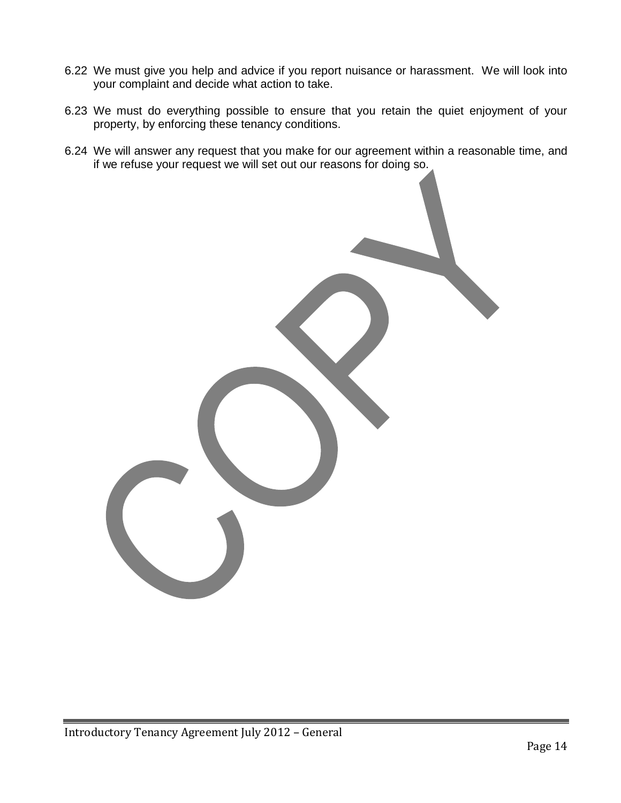- 6.22 We must give you help and advice if you report nuisance or harassment. We will look into your complaint and decide what action to take.
- 6.23 We must do everything possible to ensure that you retain the quiet enjoyment of your property, by enforcing these tenancy conditions.
- 6.24 We will answer any request that you make for our agreement within a reasonable time, and if we refuse your request we will set out our reasons for doing so.

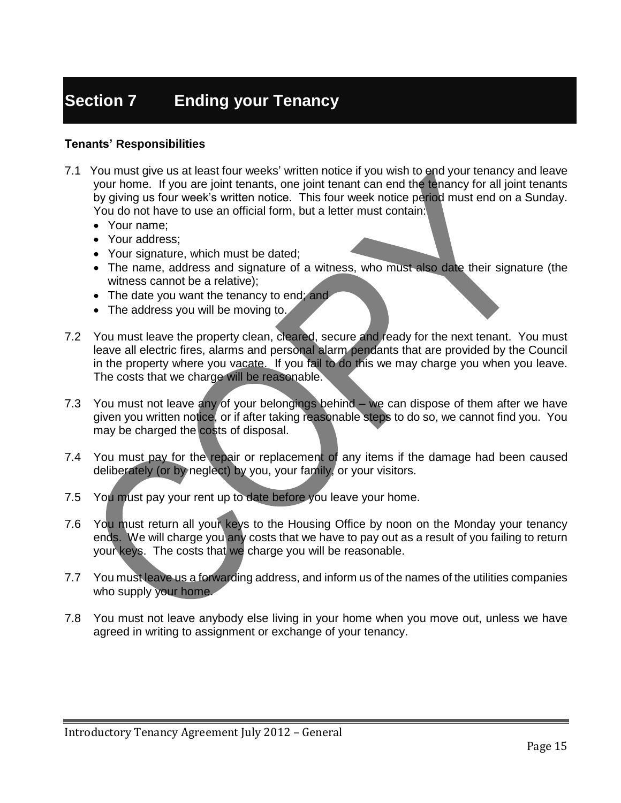# **Section 7 Ending your Tenancy**

#### **Tenants' Responsibilities**

- 7.1 You must give us at least four weeks' written notice if you wish to end your tenancy and leave your home. If you are joint tenants, one joint tenant can end the tenancy for all joint tenants by giving us four week's written notice. This four week notice period must end on a Sunday. You do not have to use an official form, but a letter must contain:
	- Your name;
	- Your address:
	- Your signature, which must be dated;
	- The name, address and signature of a witness, who must also date their signature (the witness cannot be a relative);
	- The date you want the tenancy to end; and
	- The address you will be moving to.
- 7.2 You must leave the property clean, cleared, secure and ready for the next tenant. You must leave all electric fires, alarms and personal alarm pendants that are provided by the Council in the property where you vacate. If you fail to do this we may charge you when you leave. The costs that we charge will be reasonable.
- 7.3 You must not leave any of your belongings behind we can dispose of them after we have given you written notice, or if after taking reasonable steps to do so, we cannot find you. You may be charged the costs of disposal.
- 7.4 You must pay for the repair or replacement of any items if the damage had been caused deliberately (or by neglect) by you, your family, or your visitors.
- 7.5 You must pay your rent up to date before you leave your home.
- 7.6 You must return all your keys to the Housing Office by noon on the Monday your tenancy ends. We will charge you any costs that we have to pay out as a result of you failing to return your keys. The costs that we charge you will be reasonable.
- 7.7 You must leave us a forwarding address, and inform us of the names of the utilities companies who supply your home.
- 7.8 You must not leave anybody else living in your home when you move out, unless we have agreed in writing to assignment or exchange of your tenancy.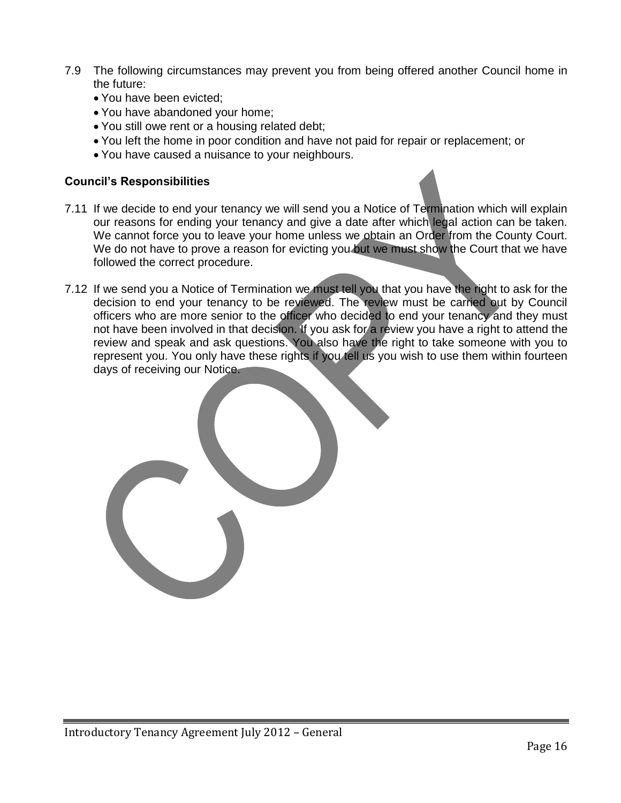- 7.9 The following circumstances may prevent you from being offered another Council home in the future:
	- You have been evicted;
	- You have abandoned your home;
	- You still owe rent or a housing related debt;
	- You left the home in poor condition and have not paid for repair or replacement; or
	- You have caused a nuisance to your neighbours.

#### **Council's Responsibilities**

- 7.11 If we decide to end your tenancy we will send you a Notice of Termination which will explain our reasons for ending your tenancy and give a date after which legal action can be taken. We cannot force you to leave your home unless we obtain an Order from the County Court. We do not have to prove a reason for evicting you but we must show the Court that we have followed the correct procedure.
- 7.12 If we send you a Notice of Termination we must tell you that you have the right to ask for the decision to end your tenancy to be reviewed. The review must be carried out by Council officers who are more senior to the officer who decided to end your tenancy and they must not have been involved in that decision. If you ask for a review you have a right to attend the review and speak and ask questions. You also have the right to take someone with you to represent you. You only have these rights if you tell us you wish to use them within fourteen days of receiving our Notice.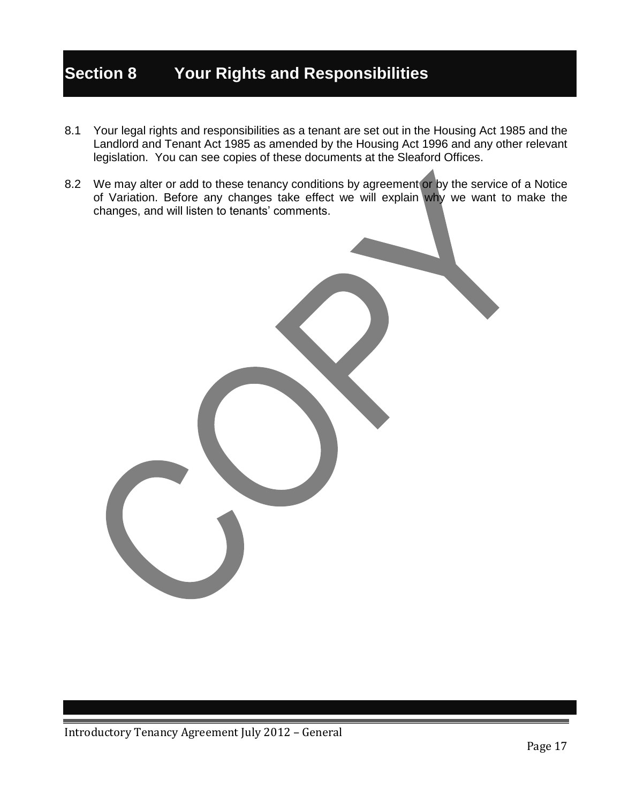# **Section 8 Your Rights and Responsibilities**

- 8.1 Your legal rights and responsibilities as a tenant are set out in the Housing Act 1985 and the Landlord and Tenant Act 1985 as amended by the Housing Act 1996 and any other relevant legislation. You can see copies of these documents at the Sleaford Offices.
- 8.2 We may alter or add to these tenancy conditions by agreement or by the service of a Notice of Variation. Before any changes take effect we will explain why we want to make the changes, and will listen to tenants' comments.

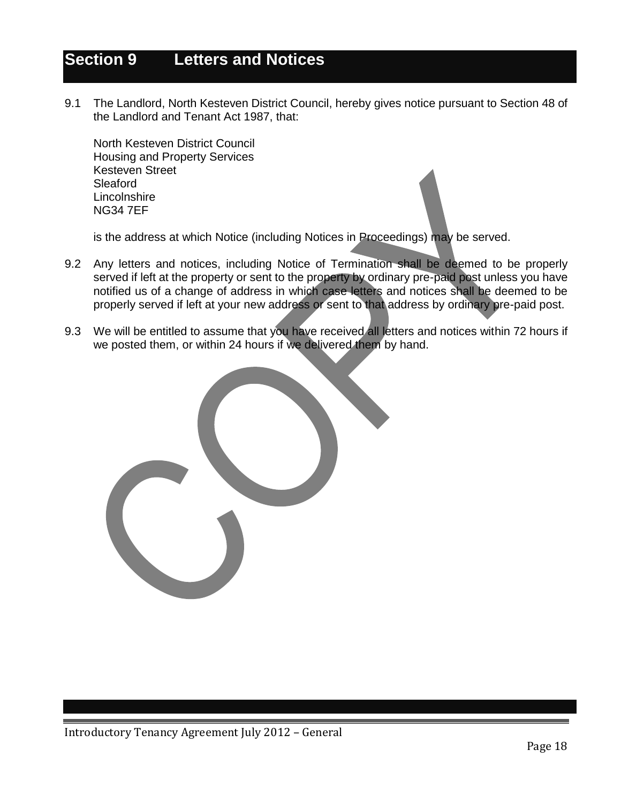### **Section 9 Letters and Notices**

9.1 The Landlord, North Kesteven District Council, hereby gives notice pursuant to Section 48 of the Landlord and Tenant Act 1987, that:

North Kesteven District Council Housing and Property Services Kesteven Street Sleaford **Lincolnshire** NG34 7EF

is the address at which Notice (including Notices in Proceedings) may be served.

- 9.2 Any letters and notices, including Notice of Termination shall be deemed to be properly served if left at the property or sent to the property by ordinary pre-paid post unless you have notified us of a change of address in which case letters and notices shall be deemed to be properly served if left at your new address or sent to that address by ordinary pre-paid post.
- 9.3 We will be entitled to assume that you have received all letters and notices within 72 hours if we posted them, or within 24 hours if we delivered them by hand.

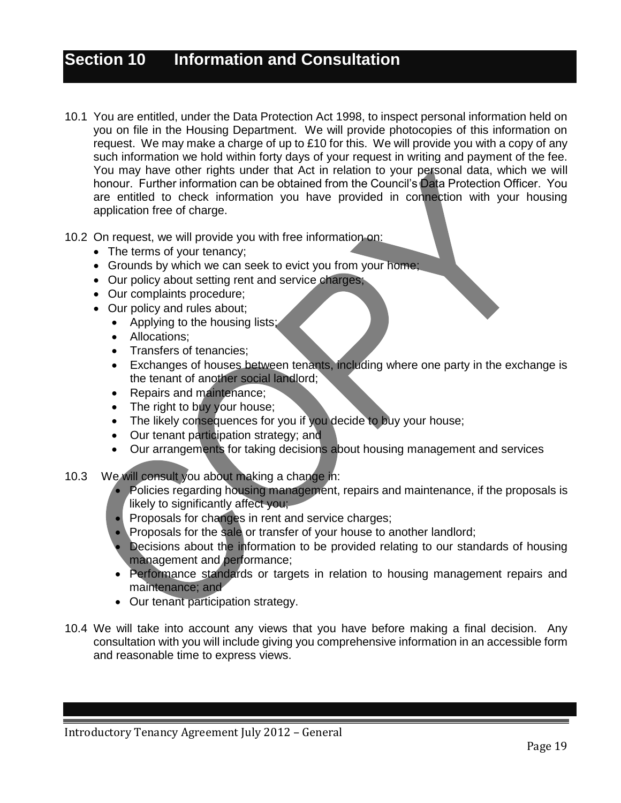# **Section 10 Information and Consultation**

- 10.1 You are entitled, under the Data Protection Act 1998, to inspect personal information held on you on file in the Housing Department. We will provide photocopies of this information on request. We may make a charge of up to £10 for this. We will provide you with a copy of any such information we hold within forty days of your request in writing and payment of the fee. You may have other rights under that Act in relation to your personal data, which we will honour. Further information can be obtained from the Council's Data Protection Officer. You are entitled to check information you have provided in connection with your housing application free of charge.
- 10.2 On request, we will provide you with free information on:
	- The terms of your tenancy;
	- Grounds by which we can seek to evict you from your home;
	- Our policy about setting rent and service charges;
	- Our complaints procedure;
	- Our policy and rules about;
		- Applying to the housing lists;
		- Allocations:
		- Transfers of tenancies;
		- Exchanges of houses between tenants, including where one party in the exchange is the tenant of another social landlord;
		- Repairs and maintenance;
		- The right to buy your house;
		- The likely consequences for you if you decide to buy your house;
		- Our tenant participation strategy; and
		- Our arrangements for taking decisions about housing management and services
- 10.3 We will consult you about making a change in:
	- Policies regarding housing management, repairs and maintenance, if the proposals is likely to significantly affect you;
	- Proposals for changes in rent and service charges;
	- Proposals for the sale or transfer of your house to another landlord;
	- Decisions about the information to be provided relating to our standards of housing management and performance;
	- Performance standards or targets in relation to housing management repairs and maintenance; and
	- Our tenant participation strategy.
- 10.4 We will take into account any views that you have before making a final decision. Any consultation with you will include giving you comprehensive information in an accessible form and reasonable time to express views.